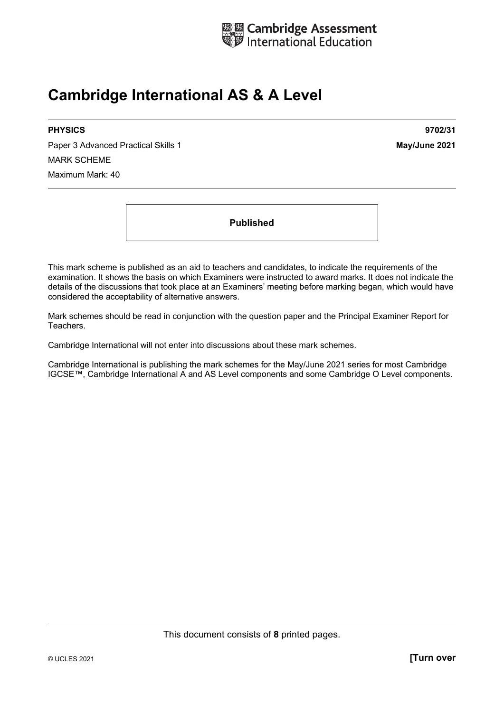

# **Cambridge International AS & A Level**

Paper 3 Advanced Practical Skills 1 **May/June 2021** MARK SCHEME Maximum Mark: 40

**PHYSICS 9702/31** 

**Published** 

This mark scheme is published as an aid to teachers and candidates, to indicate the requirements of the examination. It shows the basis on which Examiners were instructed to award marks. It does not indicate the details of the discussions that took place at an Examiners' meeting before marking began, which would have considered the acceptability of alternative answers.

Mark schemes should be read in conjunction with the question paper and the Principal Examiner Report for Teachers.

Cambridge International will not enter into discussions about these mark schemes.

Cambridge International is publishing the mark schemes for the May/June 2021 series for most Cambridge IGCSE™, Cambridge International A and AS Level components and some Cambridge O Level components.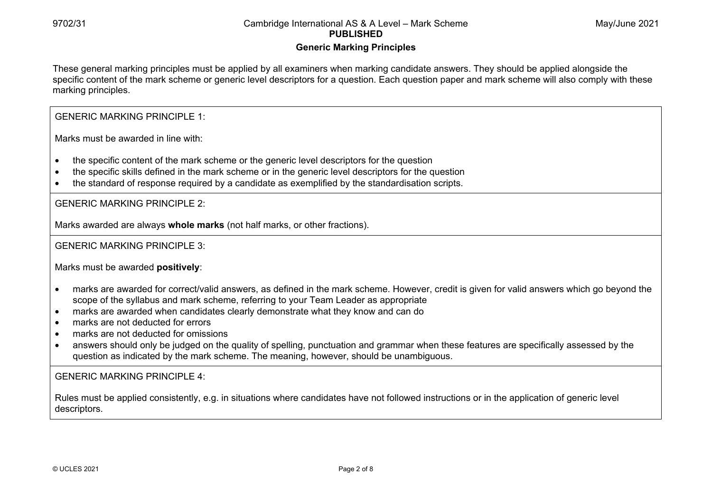#### **Generic Marking Principles**

These general marking principles must be applied by all examiners when marking candidate answers. They should be applied alongside the specific content of the mark scheme or generic level descriptors for a question. Each question paper and mark scheme will also comply with these marking principles.

GENERIC MARKING PRINCIPLE 1:

Marks must be awarded in line with:

- the specific content of the mark scheme or the generic level descriptors for the question
- the specific skills defined in the mark scheme or in the generic level descriptors for the question
- the standard of response required by a candidate as exemplified by the standardisation scripts.

GENERIC MARKING PRINCIPLE 2:

Marks awarded are always **whole marks** (not half marks, or other fractions).

GENERIC MARKING PRINCIPLE 3:

Marks must be awarded **positively**:

- marks are awarded for correct/valid answers, as defined in the mark scheme. However, credit is given for valid answers which go beyond the scope of the syllabus and mark scheme, referring to your Team Leader as appropriate
- marks are awarded when candidates clearly demonstrate what they know and can do
- marks are not deducted for errors
- marks are not deducted for omissions
- answers should only be judged on the quality of spelling, punctuation and grammar when these features are specifically assessed by the question as indicated by the mark scheme. The meaning, however, should be unambiguous.

GENERIC MARKING PRINCIPLE  $4<sup>T</sup>$ 

Rules must be applied consistently, e.g. in situations where candidates have not followed instructions or in the application of generic level descriptors.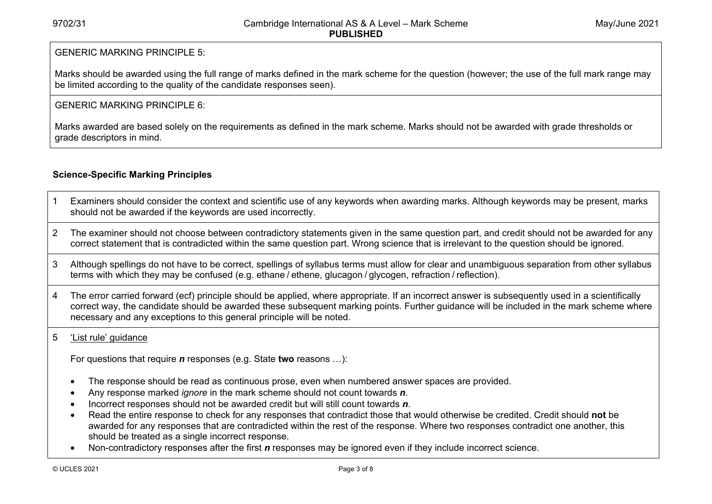#### GENERIC MARKING PRINCIPLE 5:

Marks should be awarded using the full range of marks defined in the mark scheme for the question (however; the use of the full mark range may be limited according to the quality of the candidate responses seen).

#### GENERIC MARKING PRINCIPLE 6:

Marks awarded are based solely on the requirements as defined in the mark scheme. Marks should not be awarded with grade thresholds or grade descriptors in mind.

### **Science-Specific Marking Principles**

- 1 Examiners should consider the context and scientific use of any keywords when awarding marks. Although keywords may be present, marks should not be awarded if the keywords are used incorrectly.
- 2 The examiner should not choose between contradictory statements given in the same question part, and credit should not be awarded for any correct statement that is contradicted within the same question part. Wrong science that is irrelevant to the question should be ignored.
- 3 Although spellings do not have to be correct, spellings of syllabus terms must allow for clear and unambiguous separation from other syllabus terms with which they may be confused (e.g. ethane / ethene, glucagon / glycogen, refraction / reflection).
- 4 The error carried forward (ecf) principle should be applied, where appropriate. If an incorrect answer is subsequently used in a scientifically correct way, the candidate should be awarded these subsequent marking points. Further guidance will be included in the mark scheme where necessary and any exceptions to this general principle will be noted.

#### 5 'List rule' guidance

For questions that require *<sup>n</sup>* responses (e.g. State **two** reasons …):

- The response should be read as continuous prose, even when numbered answer spaces are provided.
- Any response marked *ignore* in the mark scheme should not count towards *n*.
- Incorrect responses should not be awarded credit but will still count towards *n*.
- Read the entire response to check for any responses that contradict those that would otherwise be credited. Credit should **not** be awarded for any responses that are contradicted within the rest of the response. Where two responses contradict one another, this should be treated as a single incorrect response.
- Non-contradictory responses after the first *n* responses may be ignored even if they include incorrect science.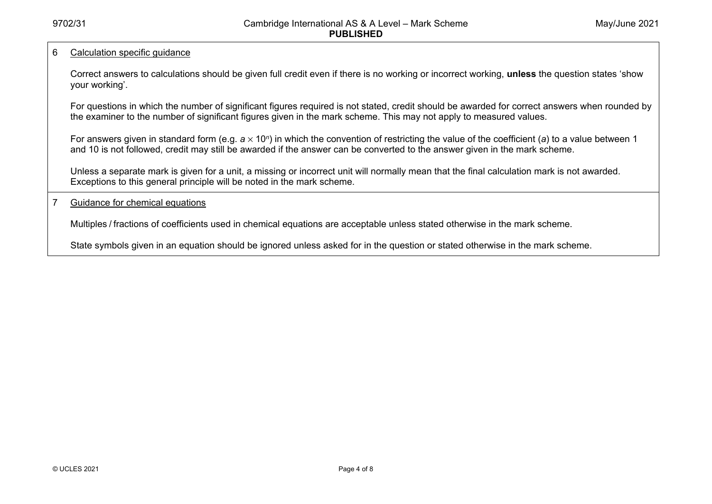#### 6 Calculation specific guidance

Correct answers to calculations should be given full credit even if there is no working or incorrect working, **unless** the question states 'show your working'.

For questions in which the number of significant figures required is not stated, credit should be awarded for correct answers when rounded by the examiner to the number of significant figures given in the mark scheme. This may not apply to measured values.

For answers given in standard form (e.g. *a* × 10<sup>*n*</sup>) in which the convention of restricting the value of the coefficient (*a*) to a value between 1 and 10 is not followed, credit may still be awarded if the answer can be converted to the answer given in the mark scheme.

Unless a separate mark is given for a unit, a missing or incorrect unit will normally mean that the final calculation mark is not awarded. Exceptions to this general principle will be noted in the mark scheme.

7 Guidance for chemical equations

Multiples / fractions of coefficients used in chemical equations are acceptable unless stated otherwise in the mark scheme.

State symbols given in an equation should be ignored unless asked for in the question or stated otherwise in the mark scheme.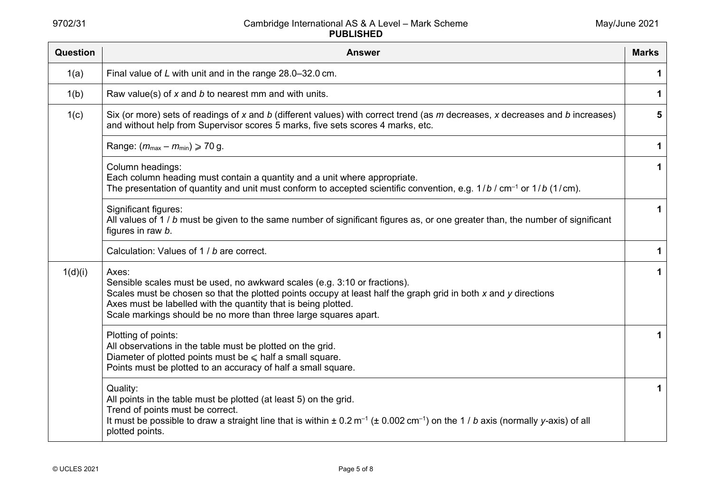| Question | <b>Answer</b>                                                                                                                                                                                                                                                                                                                               | <b>Marks</b> |
|----------|---------------------------------------------------------------------------------------------------------------------------------------------------------------------------------------------------------------------------------------------------------------------------------------------------------------------------------------------|--------------|
| 1(a)     | Final value of L with unit and in the range 28.0-32.0 cm.                                                                                                                                                                                                                                                                                   |              |
| 1(b)     | Raw value(s) of $x$ and $b$ to nearest mm and with units.                                                                                                                                                                                                                                                                                   | $\mathbf 1$  |
| 1(c)     | Six (or more) sets of readings of x and b (different values) with correct trend (as m decreases, x decreases and b increases)<br>and without help from Supervisor scores 5 marks, five sets scores 4 marks, etc.                                                                                                                            | 5            |
|          | Range: $(m_{max} - m_{min}) \ge 70$ g.                                                                                                                                                                                                                                                                                                      | $\mathbf 1$  |
|          | Column headings:<br>Each column heading must contain a quantity and a unit where appropriate.<br>The presentation of quantity and unit must conform to accepted scientific convention, e.g. $1/b$ / cm <sup>-1</sup> or $1/b$ (1/cm).                                                                                                       | $\mathbf 1$  |
|          | Significant figures:<br>All values of $1/b$ must be given to the same number of significant figures as, or one greater than, the number of significant<br>figures in raw b.                                                                                                                                                                 | $\mathbf 1$  |
|          | Calculation: Values of 1 / b are correct.                                                                                                                                                                                                                                                                                                   | $\mathbf 1$  |
| 1(d)(i)  | Axes:<br>Sensible scales must be used, no awkward scales (e.g. 3:10 or fractions).<br>Scales must be chosen so that the plotted points occupy at least half the graph grid in both x and y directions<br>Axes must be labelled with the quantity that is being plotted.<br>Scale markings should be no more than three large squares apart. | $\mathbf 1$  |
|          | Plotting of points:<br>All observations in the table must be plotted on the grid.<br>Diameter of plotted points must be $\leqslant$ half a small square.<br>Points must be plotted to an accuracy of half a small square.                                                                                                                   | $\mathbf 1$  |
|          | Quality:<br>All points in the table must be plotted (at least 5) on the grid.<br>Trend of points must be correct.<br>It must be possible to draw a straight line that is within $\pm$ 0.2 m <sup>-1</sup> ( $\pm$ 0.002 cm <sup>-1</sup> ) on the 1 / b axis (normally y-axis) of all<br>plotted points.                                    | $\mathbf 1$  |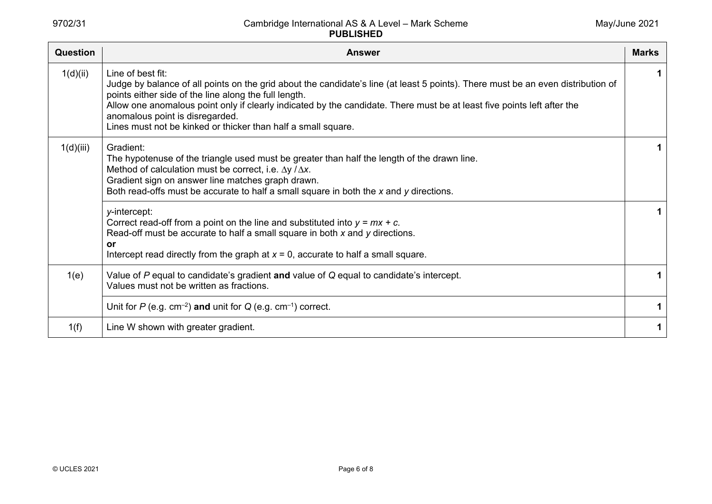| Question  | <b>Answer</b>                                                                                                                                                                                                                                                                                                                                                                                                                                 | <b>Marks</b> |
|-----------|-----------------------------------------------------------------------------------------------------------------------------------------------------------------------------------------------------------------------------------------------------------------------------------------------------------------------------------------------------------------------------------------------------------------------------------------------|--------------|
| 1(d)(ii)  | Line of best fit:<br>Judge by balance of all points on the grid about the candidate's line (at least 5 points). There must be an even distribution of<br>points either side of the line along the full length.<br>Allow one anomalous point only if clearly indicated by the candidate. There must be at least five points left after the<br>anomalous point is disregarded.<br>Lines must not be kinked or thicker than half a small square. |              |
| 1(d)(iii) | Gradient:<br>The hypotenuse of the triangle used must be greater than half the length of the drawn line.<br>Method of calculation must be correct, i.e. $\Delta y / \Delta x$ .<br>Gradient sign on answer line matches graph drawn.<br>Both read-offs must be accurate to half a small square in both the $x$ and $y$ directions.                                                                                                            |              |
|           | y-intercept:<br>Correct read-off from a point on the line and substituted into $y = mx + c$ .<br>Read-off must be accurate to half a small square in both $x$ and $y$ directions.<br><b>or</b><br>Intercept read directly from the graph at $x = 0$ , accurate to half a small square.                                                                                                                                                        |              |
| 1(e)      | Value of P equal to candidate's gradient and value of Q equal to candidate's intercept.<br>Values must not be written as fractions.                                                                                                                                                                                                                                                                                                           |              |
|           | Unit for $P$ (e.g. cm <sup>-2</sup> ) and unit for $Q$ (e.g. cm <sup>-1</sup> ) correct.                                                                                                                                                                                                                                                                                                                                                      |              |
| 1(f)      | Line W shown with greater gradient.                                                                                                                                                                                                                                                                                                                                                                                                           |              |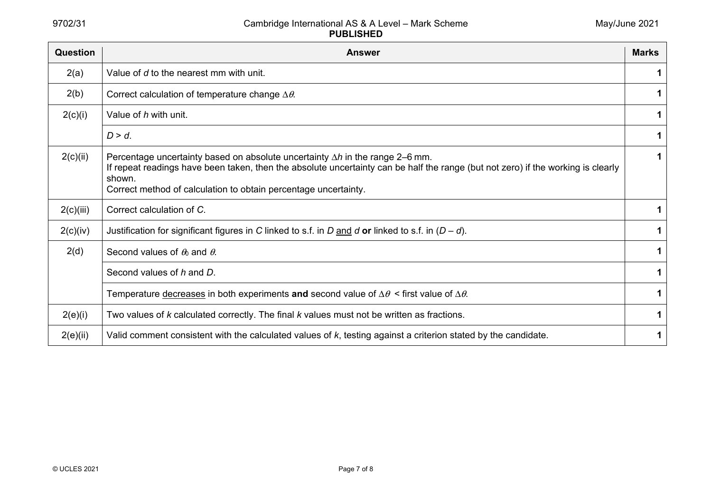| Question  | <b>Answer</b>                                                                                                                                                                                                                                                                                         | <b>Marks</b> |
|-----------|-------------------------------------------------------------------------------------------------------------------------------------------------------------------------------------------------------------------------------------------------------------------------------------------------------|--------------|
| 2(a)      | Value of d to the nearest mm with unit.                                                                                                                                                                                                                                                               | 1            |
| 2(b)      | Correct calculation of temperature change $\Delta \theta$ .                                                                                                                                                                                                                                           | 1            |
| 2(c)(i)   | Value of h with unit.                                                                                                                                                                                                                                                                                 | 1            |
|           | $D > d$ .                                                                                                                                                                                                                                                                                             | 1            |
| 2(c)(ii)  | Percentage uncertainty based on absolute uncertainty $\Delta h$ in the range 2–6 mm.<br>If repeat readings have been taken, then the absolute uncertainty can be half the range (but not zero) if the working is clearly<br>shown.<br>Correct method of calculation to obtain percentage uncertainty. | 1            |
| 2(c)(iii) | Correct calculation of C.                                                                                                                                                                                                                                                                             |              |
| 2(c)(iv)  | Justification for significant figures in C linked to s.f. in D and d or linked to s.f. in $(D - d)$ .                                                                                                                                                                                                 | 1            |
| 2(d)      | Second values of $\theta_0$ and $\theta$ .                                                                                                                                                                                                                                                            | 1            |
|           | Second values of h and D.                                                                                                                                                                                                                                                                             | 1            |
|           | Temperature decreases in both experiments and second value of $\Delta\theta$ < first value of $\Delta\theta$ .                                                                                                                                                                                        | 1            |
| 2(e)(i)   | Two values of $k$ calculated correctly. The final $k$ values must not be written as fractions.                                                                                                                                                                                                        | 1            |
| 2(e)(ii)  | Valid comment consistent with the calculated values of k, testing against a criterion stated by the candidate.                                                                                                                                                                                        | 1            |